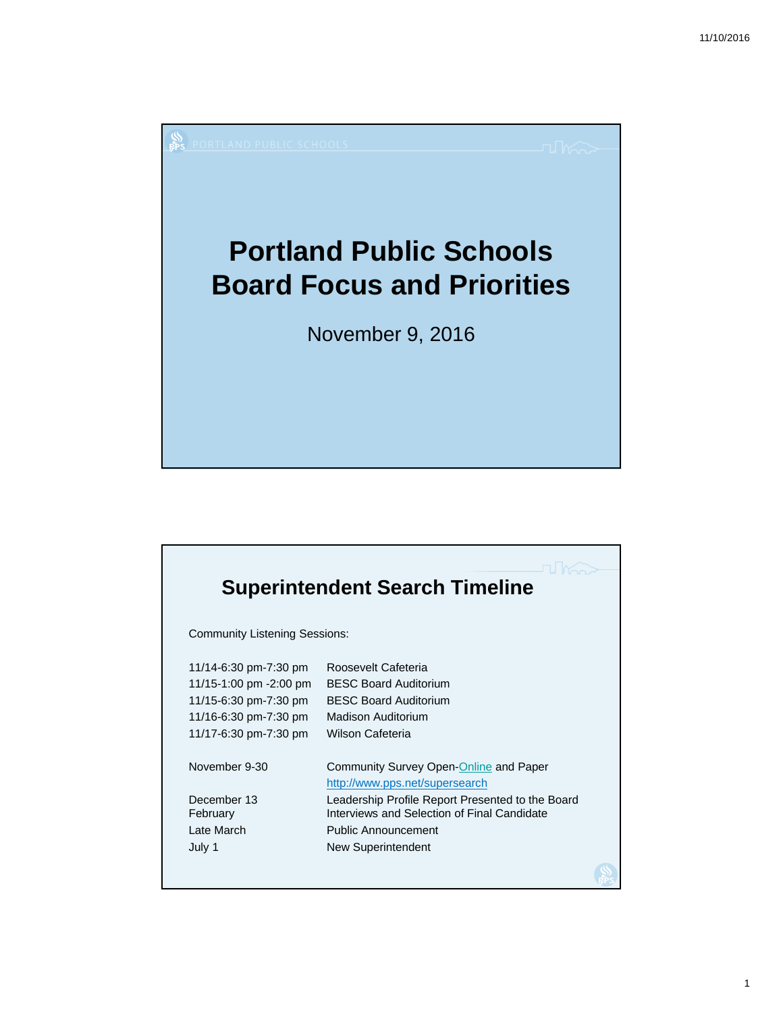

| <b>Superintendent Search Timeline</b>                                                                                      |                                                                                                                                                                                                                                        |  |
|----------------------------------------------------------------------------------------------------------------------------|----------------------------------------------------------------------------------------------------------------------------------------------------------------------------------------------------------------------------------------|--|
| <b>Community Listening Sessions:</b>                                                                                       |                                                                                                                                                                                                                                        |  |
| 11/14-6:30 pm-7:30 pm<br>11/15-1:00 pm -2:00 pm<br>11/15-6:30 pm-7:30 pm<br>11/16-6:30 pm-7:30 pm<br>11/17-6:30 pm-7:30 pm | Roosevelt Cafeteria<br><b>BESC Board Auditorium</b><br><b>BESC Board Auditorium</b><br>Madison Auditorium<br>Wilson Cafeteria                                                                                                          |  |
| November 9-30<br>December 13<br>February<br>Late March<br>July 1                                                           | Community Survey Open-Online and Paper<br>http://www.pps.net/supersearch<br>Leadership Profile Report Presented to the Board<br>Interviews and Selection of Final Candidate<br><b>Public Announcement</b><br><b>New Superintendent</b> |  |
|                                                                                                                            |                                                                                                                                                                                                                                        |  |